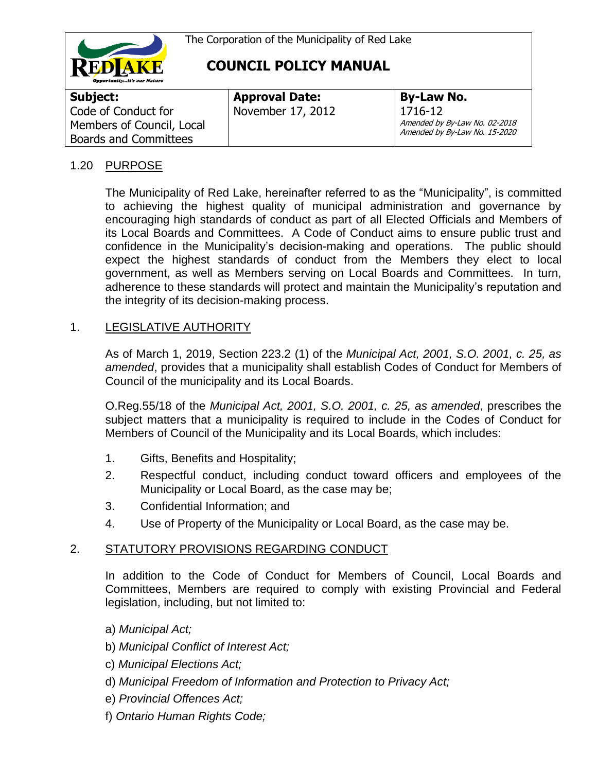

| Subject:                                                                  | <b>Approval Date:</b> | <b>By-Law No.</b>                                                         |
|---------------------------------------------------------------------------|-----------------------|---------------------------------------------------------------------------|
| Code of Conduct for<br>Members of Council, Local<br>Boards and Committees | November 17, 2012     | 1716-12<br>Amended by By-Law No. 02-2018<br>Amended by By-Law No. 15-2020 |

### 1.20 PURPOSE

The Municipality of Red Lake, hereinafter referred to as the "Municipality", is committed to achieving the highest quality of municipal administration and governance by encouraging high standards of conduct as part of all Elected Officials and Members of its Local Boards and Committees. A Code of Conduct aims to ensure public trust and confidence in the Municipality's decision-making and operations. The public should expect the highest standards of conduct from the Members they elect to local government, as well as Members serving on Local Boards and Committees. In turn, adherence to these standards will protect and maintain the Municipality's reputation and the integrity of its decision-making process.

#### 1. LEGISLATIVE AUTHORITY

As of March 1, 2019, Section 223.2 (1) of the *Municipal Act, 2001, S.O. 2001, c. 25, as amended*, provides that a municipality shall establish Codes of Conduct for Members of Council of the municipality and its Local Boards.

O.Reg.55/18 of the *Municipal Act, 2001, S.O. 2001, c. 25, as amended*, prescribes the subject matters that a municipality is required to include in the Codes of Conduct for Members of Council of the Municipality and its Local Boards, which includes:

- 1. Gifts, Benefits and Hospitality;
- 2. Respectful conduct, including conduct toward officers and employees of the Municipality or Local Board, as the case may be;
- 3. Confidential Information; and
- 4. Use of Property of the Municipality or Local Board, as the case may be.

### 2. STATUTORY PROVISIONS REGARDING CONDUCT

In addition to the Code of Conduct for Members of Council, Local Boards and Committees, Members are required to comply with existing Provincial and Federal legislation, including, but not limited to:

- a) *Municipal Act;*
- b) *Municipal Conflict of Interest Act;*
- c) *Municipal Elections Act;*
- d) *Municipal Freedom of Information and Protection to Privacy Act;*
- e) *Provincial Offences Act;*
- f) *Ontario Human Rights Code;*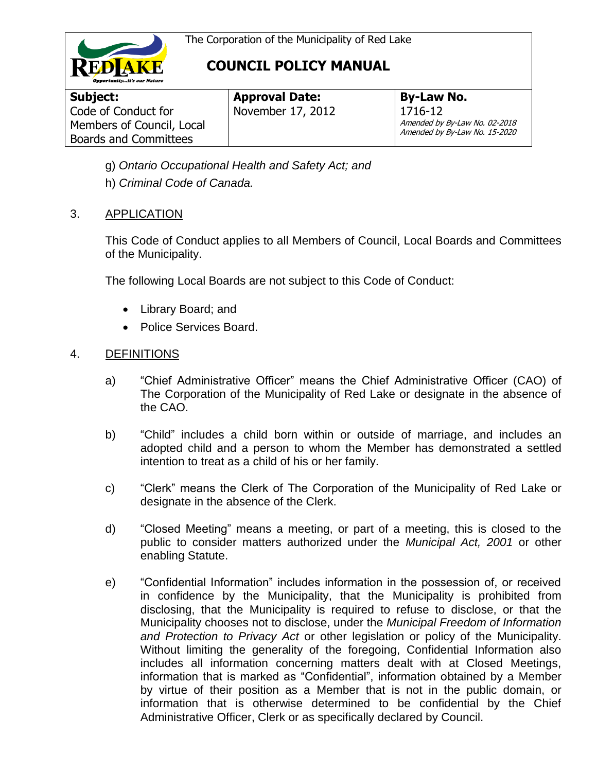

| Subject:                     |
|------------------------------|
| Code of Conduct for          |
| Members of Council, Local    |
| <b>Boards and Committees</b> |

**Approval Date:** November 17, 2012

**By-Law No.** 1716-12 Amended by By-Law No. 02-2018 Amended by By-Law No. 15-2020

- g) *Ontario Occupational Health and Safety Act; and*
- h) *Criminal Code of Canada.*

### 3. APPLICATION

This Code of Conduct applies to all Members of Council, Local Boards and Committees of the Municipality.

The following Local Boards are not subject to this Code of Conduct:

- Library Board; and
- Police Services Board.

#### 4. DEFINITIONS

- a) "Chief Administrative Officer" means the Chief Administrative Officer (CAO) of The Corporation of the Municipality of Red Lake or designate in the absence of the CAO.
- b) "Child" includes a child born within or outside of marriage, and includes an adopted child and a person to whom the Member has demonstrated a settled intention to treat as a child of his or her family.
- c) "Clerk" means the Clerk of The Corporation of the Municipality of Red Lake or designate in the absence of the Clerk.
- d) "Closed Meeting" means a meeting, or part of a meeting, this is closed to the public to consider matters authorized under the *Municipal Act, 2001* or other enabling Statute.
- e) "Confidential Information" includes information in the possession of, or received in confidence by the Municipality, that the Municipality is prohibited from disclosing, that the Municipality is required to refuse to disclose, or that the Municipality chooses not to disclose, under the *Municipal Freedom of Information and Protection to Privacy Act* or other legislation or policy of the Municipality. Without limiting the generality of the foregoing, Confidential Information also includes all information concerning matters dealt with at Closed Meetings, information that is marked as "Confidential", information obtained by a Member by virtue of their position as a Member that is not in the public domain, or information that is otherwise determined to be confidential by the Chief Administrative Officer, Clerk or as specifically declared by Council.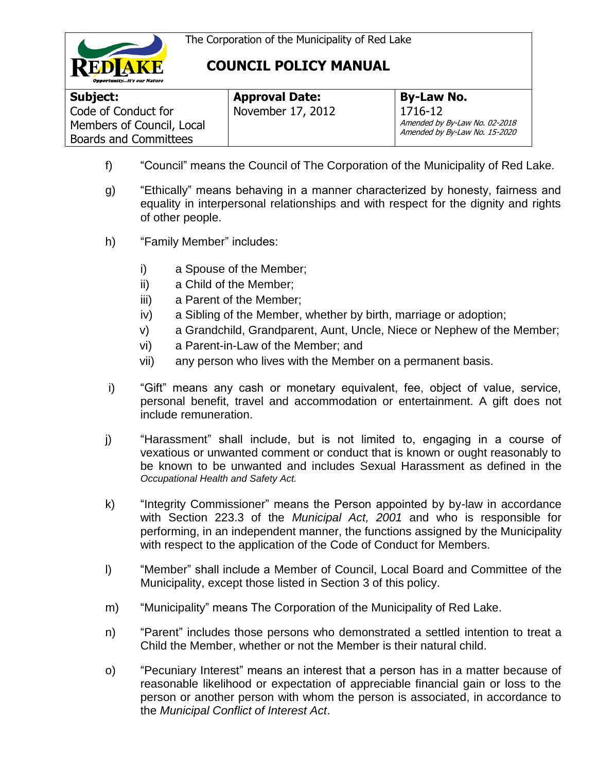



| Subject:                                         | <b>Approval Date:</b> | <b>By-Law No.</b>                        |
|--------------------------------------------------|-----------------------|------------------------------------------|
| Code of Conduct for<br>Members of Council, Local | November 17, 2012     | 1716-12<br>Amended by By-Law No. 02-2018 |
| <b>Boards and Committees</b>                     |                       | Amended by By-Law No. 15-2020            |

- f) "Council" means the Council of The Corporation of the Municipality of Red Lake.
- g) "Ethically" means behaving in a manner characterized by honesty, fairness and equality in interpersonal relationships and with respect for the dignity and rights of other people.
- h) "Family Member" includes:
	- i) a Spouse of the Member;
	- ii) a Child of the Member;
	- iii) a Parent of the Member;
	- iv) a Sibling of the Member, whether by birth, marriage or adoption;
	- v) a Grandchild, Grandparent, Aunt, Uncle, Niece or Nephew of the Member;
	- vi) a Parent-in-Law of the Member; and
	- vii) any person who lives with the Member on a permanent basis.
- i) "Gift" means any cash or monetary equivalent, fee, object of value, service, personal benefit, travel and accommodation or entertainment. A gift does not include remuneration.
- j) "Harassment" shall include, but is not limited to, engaging in a course of vexatious or unwanted comment or conduct that is known or ought reasonably to be known to be unwanted and includes Sexual Harassment as defined in the *Occupational Health and Safety Act.*
- k) "Integrity Commissioner" means the Person appointed by by-law in accordance with Section 223.3 of the *Municipal Act, 2001* and who is responsible for performing, in an independent manner, the functions assigned by the Municipality with respect to the application of the Code of Conduct for Members.
- l) "Member" shall include a Member of Council, Local Board and Committee of the Municipality, except those listed in Section 3 of this policy.
- m) "Municipality" means The Corporation of the Municipality of Red Lake.
- n) "Parent" includes those persons who demonstrated a settled intention to treat a Child the Member, whether or not the Member is their natural child.
- o) "Pecuniary Interest" means an interest that a person has in a matter because of reasonable likelihood or expectation of appreciable financial gain or loss to the person or another person with whom the person is associated, in accordance to the *Municipal Conflict of Interest Act*.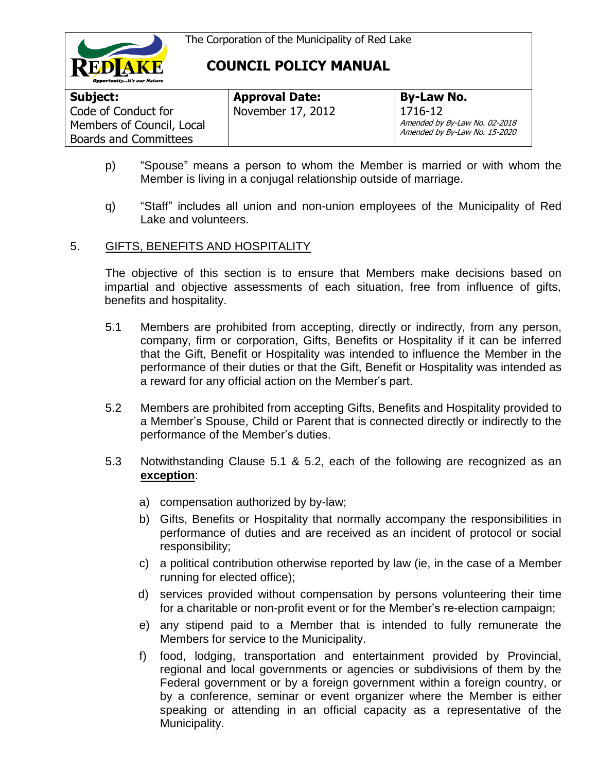



| Subject:                                                                         | <b>Approval Date:</b> | <b>By-Law No.</b>                                                         |
|----------------------------------------------------------------------------------|-----------------------|---------------------------------------------------------------------------|
| Code of Conduct for<br>Members of Council, Local<br><b>Boards and Committees</b> | November 17, 2012     | 1716-12<br>Amended by By-Law No. 02-2018<br>Amended by By-Law No. 15-2020 |

- p) "Spouse" means a person to whom the Member is married or with whom the Member is living in a conjugal relationship outside of marriage.
- q) "Staff" includes all union and non-union employees of the Municipality of Red Lake and volunteers.

#### 5. GIFTS, BENEFITS AND HOSPITALITY

The objective of this section is to ensure that Members make decisions based on impartial and objective assessments of each situation, free from influence of gifts, benefits and hospitality.

- 5.1 Members are prohibited from accepting, directly or indirectly, from any person, company, firm or corporation, Gifts, Benefits or Hospitality if it can be inferred that the Gift, Benefit or Hospitality was intended to influence the Member in the performance of their duties or that the Gift, Benefit or Hospitality was intended as a reward for any official action on the Member's part.
- 5.2 Members are prohibited from accepting Gifts, Benefits and Hospitality provided to a Member's Spouse, Child or Parent that is connected directly or indirectly to the performance of the Member's duties.
- 5.3 Notwithstanding Clause 5.1 & 5.2, each of the following are recognized as an **exception**:
	- a) compensation authorized by by-law;
	- b) Gifts, Benefits or Hospitality that normally accompany the responsibilities in performance of duties and are received as an incident of protocol or social responsibility;
	- c) a political contribution otherwise reported by law (ie, in the case of a Member running for elected office);
	- d) services provided without compensation by persons volunteering their time for a charitable or non-profit event or for the Member's re-election campaign;
	- e) any stipend paid to a Member that is intended to fully remunerate the Members for service to the Municipality.
	- f) food, lodging, transportation and entertainment provided by Provincial, regional and local governments or agencies or subdivisions of them by the Federal government or by a foreign government within a foreign country, or by a conference, seminar or event organizer where the Member is either speaking or attending in an official capacity as a representative of the Municipality.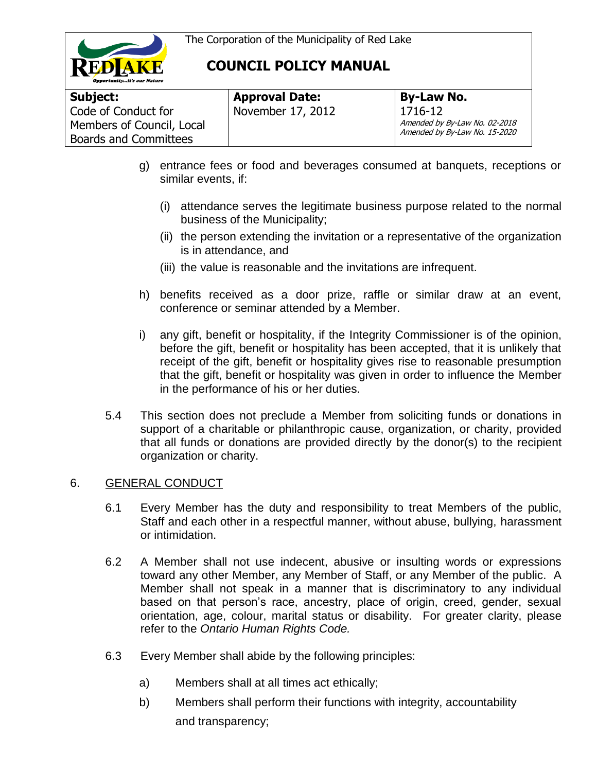



| Subject:                     | <b>Approval Date:</b> | <b>By-Law No.</b>                                              |
|------------------------------|-----------------------|----------------------------------------------------------------|
| Code of Conduct for          | November 17, 2012     | 1716-12                                                        |
| Members of Council, Local    |                       | Amended by By-Law No. 02-2018<br>Amended by By-Law No. 15-2020 |
| <b>Boards and Committees</b> |                       |                                                                |

- g) entrance fees or food and beverages consumed at banquets, receptions or similar events, if:
	- (i) attendance serves the legitimate business purpose related to the normal business of the Municipality;
	- (ii) the person extending the invitation or a representative of the organization is in attendance, and
	- (iii) the value is reasonable and the invitations are infrequent.
- h) benefits received as a door prize, raffle or similar draw at an event, conference or seminar attended by a Member.
- i) any gift, benefit or hospitality, if the Integrity Commissioner is of the opinion, before the gift, benefit or hospitality has been accepted, that it is unlikely that receipt of the gift, benefit or hospitality gives rise to reasonable presumption that the gift, benefit or hospitality was given in order to influence the Member in the performance of his or her duties.
- 5.4 This section does not preclude a Member from soliciting funds or donations in support of a charitable or philanthropic cause, organization, or charity, provided that all funds or donations are provided directly by the donor(s) to the recipient organization or charity.

#### 6. GENERAL CONDUCT

- 6.1 Every Member has the duty and responsibility to treat Members of the public, Staff and each other in a respectful manner, without abuse, bullying, harassment or intimidation.
- 6.2 A Member shall not use indecent, abusive or insulting words or expressions toward any other Member, any Member of Staff, or any Member of the public. A Member shall not speak in a manner that is discriminatory to any individual based on that person's race, ancestry, place of origin, creed, gender, sexual orientation, age, colour, marital status or disability. For greater clarity, please refer to the *Ontario Human Rights Code.*
- 6.3 Every Member shall abide by the following principles:
	- a) Members shall at all times act ethically;
	- b) Members shall perform their functions with integrity, accountability and transparency;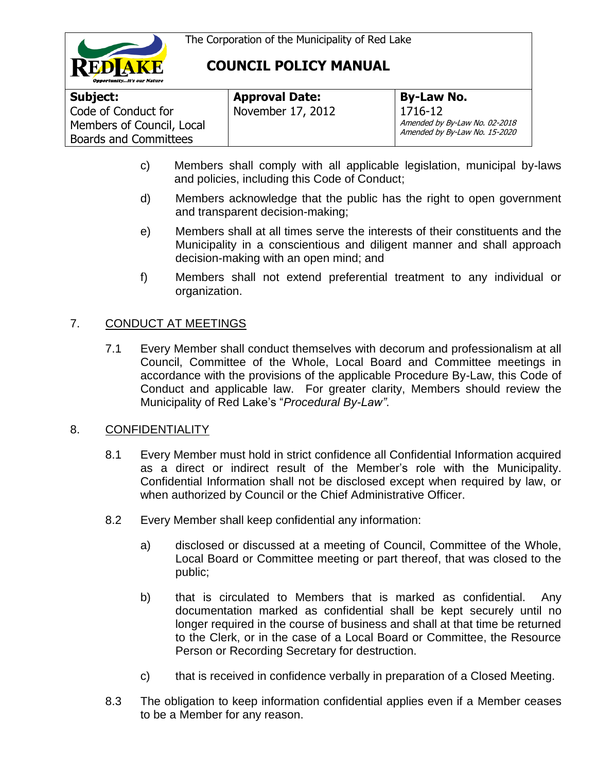



| Subject:                                                                         | <b>Approval Date:</b> | <b>By-Law No.</b>                                                         |
|----------------------------------------------------------------------------------|-----------------------|---------------------------------------------------------------------------|
| Code of Conduct for<br>Members of Council, Local<br><b>Boards and Committees</b> | November 17, 2012     | 1716-12<br>Amended by By-Law No. 02-2018<br>Amended by By-Law No. 15-2020 |

- c) Members shall comply with all applicable legislation, municipal by-laws and policies, including this Code of Conduct;
- d) Members acknowledge that the public has the right to open government and transparent decision-making;
- e) Members shall at all times serve the interests of their constituents and the Municipality in a conscientious and diligent manner and shall approach decision-making with an open mind; and
- f) Members shall not extend preferential treatment to any individual or organization.

### 7. CONDUCT AT MEETINGS

7.1 Every Member shall conduct themselves with decorum and professionalism at all Council, Committee of the Whole, Local Board and Committee meetings in accordance with the provisions of the applicable Procedure By-Law, this Code of Conduct and applicable law. For greater clarity, Members should review the Municipality of Red Lake's "*Procedural By-Law"*.

#### 8. CONFIDENTIALITY

- 8.1 Every Member must hold in strict confidence all Confidential Information acquired as a direct or indirect result of the Member's role with the Municipality. Confidential Information shall not be disclosed except when required by law, or when authorized by Council or the Chief Administrative Officer.
- 8.2 Every Member shall keep confidential any information:
	- a) disclosed or discussed at a meeting of Council, Committee of the Whole, Local Board or Committee meeting or part thereof, that was closed to the public;
	- b) that is circulated to Members that is marked as confidential. Any documentation marked as confidential shall be kept securely until no longer required in the course of business and shall at that time be returned to the Clerk, or in the case of a Local Board or Committee, the Resource Person or Recording Secretary for destruction.
	- c) that is received in confidence verbally in preparation of a Closed Meeting.
- 8.3 The obligation to keep information confidential applies even if a Member ceases to be a Member for any reason.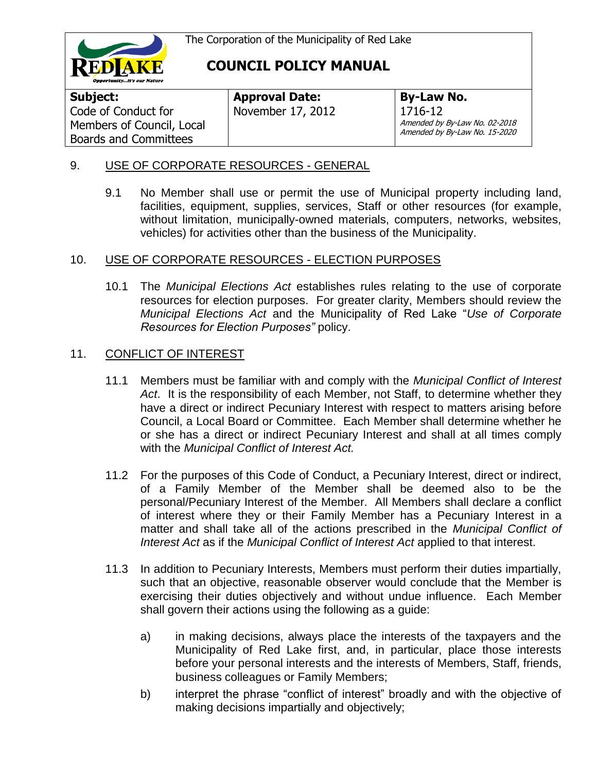

**Subject:**  Code of Conduct for Members of Council, Local Boards and Committees

**Approval Date:** November 17, 2012

**By-Law No.** 1716-12 Amended by By-Law No. 02-2018 Amended by By-Law No. 15-2020

### 9. USE OF CORPORATE RESOURCES - GENERAL

9.1 No Member shall use or permit the use of Municipal property including land, facilities, equipment, supplies, services, Staff or other resources (for example, without limitation, municipally-owned materials, computers, networks, websites, vehicles) for activities other than the business of the Municipality.

### 10. USE OF CORPORATE RESOURCES - ELECTION PURPOSES

10.1 The *Municipal Elections Act* establishes rules relating to the use of corporate resources for election purposes. For greater clarity, Members should review the *Municipal Elections Act* and the Municipality of Red Lake "*Use of Corporate Resources for Election Purposes"* policy.

### 11. CONFLICT OF INTEREST

- 11.1 Members must be familiar with and comply with the *Municipal Conflict of Interest Act*. It is the responsibility of each Member, not Staff, to determine whether they have a direct or indirect Pecuniary Interest with respect to matters arising before Council, a Local Board or Committee. Each Member shall determine whether he or she has a direct or indirect Pecuniary Interest and shall at all times comply with the *Municipal Conflict of Interest Act.*
- 11.2 For the purposes of this Code of Conduct, a Pecuniary Interest, direct or indirect, of a Family Member of the Member shall be deemed also to be the personal/Pecuniary Interest of the Member. All Members shall declare a conflict of interest where they or their Family Member has a Pecuniary Interest in a matter and shall take all of the actions prescribed in the *Municipal Conflict of Interest Act* as if the *Municipal Conflict of Interest Act* applied to that interest.
- 11.3 In addition to Pecuniary Interests, Members must perform their duties impartially, such that an objective, reasonable observer would conclude that the Member is exercising their duties objectively and without undue influence. Each Member shall govern their actions using the following as a guide:
	- a) in making decisions, always place the interests of the taxpayers and the Municipality of Red Lake first, and, in particular, place those interests before your personal interests and the interests of Members, Staff, friends, business colleagues or Family Members;
	- b) interpret the phrase "conflict of interest" broadly and with the objective of making decisions impartially and objectively;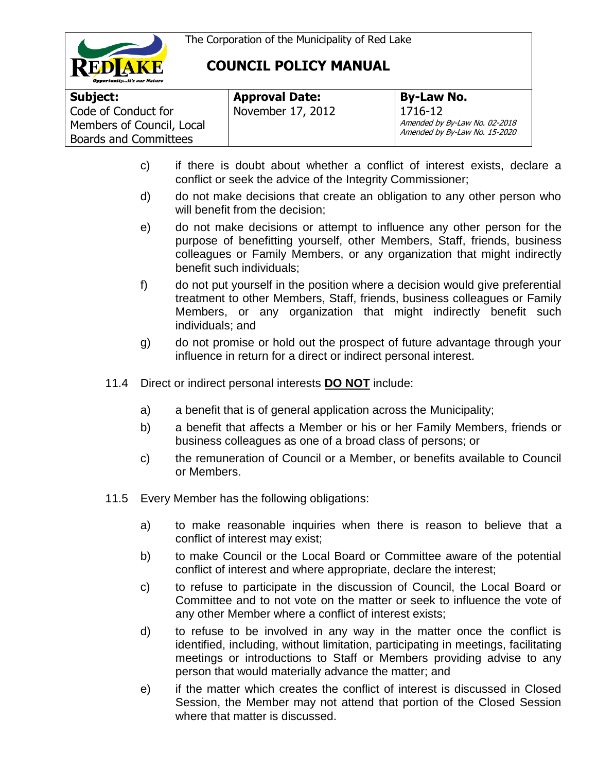



| Subject:                                                                         | <b>Approval Date:</b> | <b>By-Law No.</b>                                                         |
|----------------------------------------------------------------------------------|-----------------------|---------------------------------------------------------------------------|
| Code of Conduct for<br>Members of Council, Local<br><b>Boards and Committees</b> | November 17, 2012     | 1716-12<br>Amended by By-Law No. 02-2018<br>Amended by By-Law No. 15-2020 |

- c) if there is doubt about whether a conflict of interest exists, declare a conflict or seek the advice of the Integrity Commissioner;
- d) do not make decisions that create an obligation to any other person who will benefit from the decision;
- e) do not make decisions or attempt to influence any other person for the purpose of benefitting yourself, other Members, Staff, friends, business colleagues or Family Members, or any organization that might indirectly benefit such individuals;
- f) do not put yourself in the position where a decision would give preferential treatment to other Members, Staff, friends, business colleagues or Family Members, or any organization that might indirectly benefit such individuals; and
- g) do not promise or hold out the prospect of future advantage through your influence in return for a direct or indirect personal interest.
- 11.4 Direct or indirect personal interests **DO NOT** include:
	- a) a benefit that is of general application across the Municipality;
	- b) a benefit that affects a Member or his or her Family Members, friends or business colleagues as one of a broad class of persons; or
	- c) the remuneration of Council or a Member, or benefits available to Council or Members.
- 11.5 Every Member has the following obligations:
	- a) to make reasonable inquiries when there is reason to believe that a conflict of interest may exist;
	- b) to make Council or the Local Board or Committee aware of the potential conflict of interest and where appropriate, declare the interest;
	- c) to refuse to participate in the discussion of Council, the Local Board or Committee and to not vote on the matter or seek to influence the vote of any other Member where a conflict of interest exists;
	- d) to refuse to be involved in any way in the matter once the conflict is identified, including, without limitation, participating in meetings, facilitating meetings or introductions to Staff or Members providing advise to any person that would materially advance the matter; and
	- e) if the matter which creates the conflict of interest is discussed in Closed Session, the Member may not attend that portion of the Closed Session where that matter is discussed.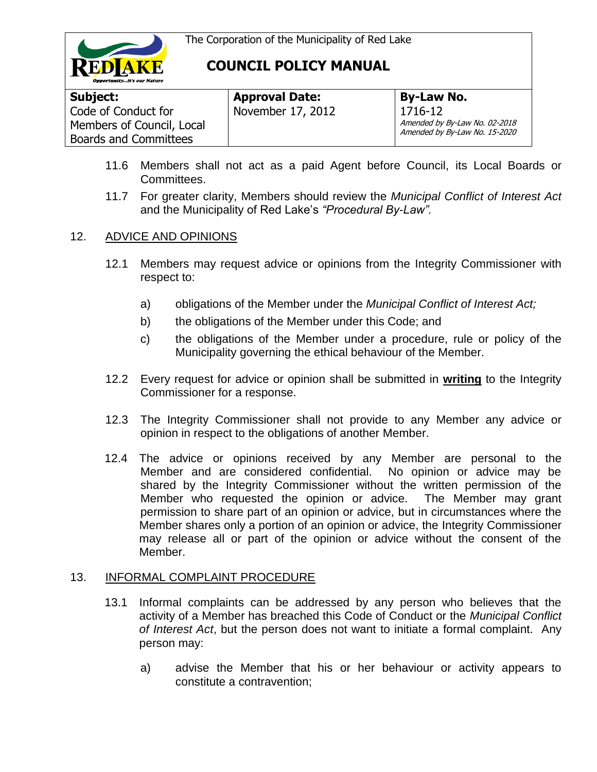

| Subject:                                                                         | <b>Approval Date:</b> | <b>By-Law No.</b>                                                         |
|----------------------------------------------------------------------------------|-----------------------|---------------------------------------------------------------------------|
| Code of Conduct for<br>Members of Council, Local<br><b>Boards and Committees</b> | November 17, 2012     | 1716-12<br>Amended by By-Law No. 02-2018<br>Amended by By-Law No. 15-2020 |

- 11.6 Members shall not act as a paid Agent before Council, its Local Boards or Committees.
- 11.7 For greater clarity, Members should review the *Municipal Conflict of Interest Act*  and the Municipality of Red Lake's *"Procedural By-Law".*

#### 12. ADVICE AND OPINIONS

- 12.1 Members may request advice or opinions from the Integrity Commissioner with respect to:
	- a) obligations of the Member under the *Municipal Conflict of Interest Act;*
	- b) the obligations of the Member under this Code; and
	- c) the obligations of the Member under a procedure, rule or policy of the Municipality governing the ethical behaviour of the Member.
- 12.2 Every request for advice or opinion shall be submitted in **writing** to the Integrity Commissioner for a response.
- 12.3 The Integrity Commissioner shall not provide to any Member any advice or opinion in respect to the obligations of another Member.
- 12.4 The advice or opinions received by any Member are personal to the Member and are considered confidential. No opinion or advice may be shared by the Integrity Commissioner without the written permission of the Member who requested the opinion or advice. The Member may grant permission to share part of an opinion or advice, but in circumstances where the Member shares only a portion of an opinion or advice, the Integrity Commissioner may release all or part of the opinion or advice without the consent of the Member.

#### 13. INFORMAL COMPLAINT PROCEDURE

- 13.1 Informal complaints can be addressed by any person who believes that the activity of a Member has breached this Code of Conduct or the *Municipal Conflict of Interest Act*, but the person does not want to initiate a formal complaint. Any person may:
	- a) advise the Member that his or her behaviour or activity appears to constitute a contravention;